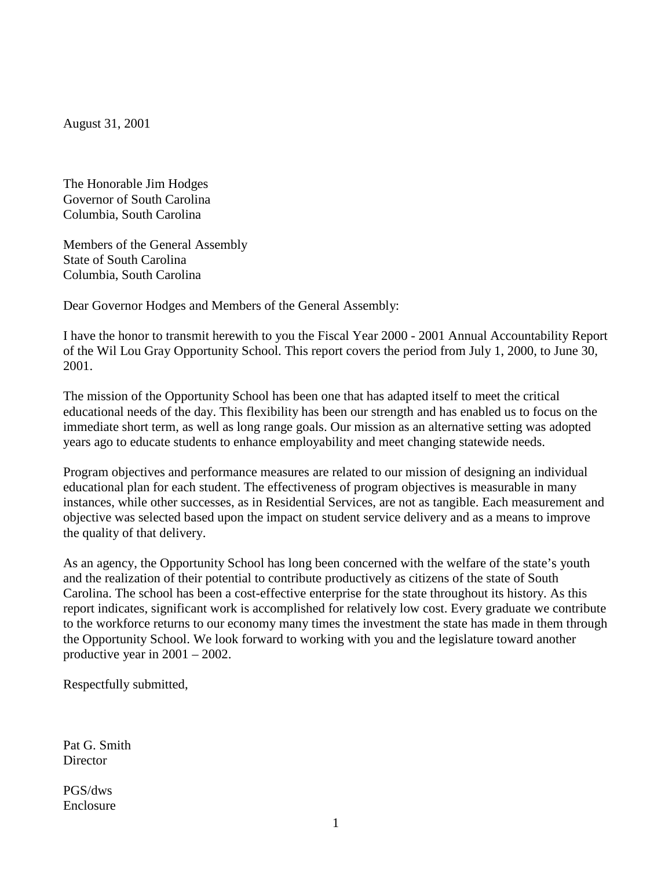August 31, 2001

The Honorable Jim Hodges Governor of South Carolina Columbia, South Carolina

Members of the General Assembly State of South Carolina Columbia, South Carolina

Dear Governor Hodges and Members of the General Assembly:

I have the honor to transmit herewith to you the Fiscal Year 2000 - 2001 Annual Accountability Report of the Wil Lou Gray Opportunity School. This report covers the period from July 1, 2000, to June 30, 2001.

The mission of the Opportunity School has been one that has adapted itself to meet the critical educational needs of the day. This flexibility has been our strength and has enabled us to focus on the immediate short term, as well as long range goals. Our mission as an alternative setting was adopted years ago to educate students to enhance employability and meet changing statewide needs.

Program objectives and performance measures are related to our mission of designing an individual educational plan for each student. The effectiveness of program objectives is measurable in many instances, while other successes, as in Residential Services, are not as tangible. Each measurement and objective was selected based upon the impact on student service delivery and as a means to improve the quality of that delivery.

As an agency, the Opportunity School has long been concerned with the welfare of the state's youth and the realization of their potential to contribute productively as citizens of the state of South Carolina. The school has been a cost-effective enterprise for the state throughout its history. As this report indicates, significant work is accomplished for relatively low cost. Every graduate we contribute to the workforce returns to our economy many times the investment the state has made in them through the Opportunity School. We look forward to working with you and the legislature toward another productive year in 2001 – 2002.

Respectfully submitted,

Pat G. Smith **Director** 

PGS/dws Enclosure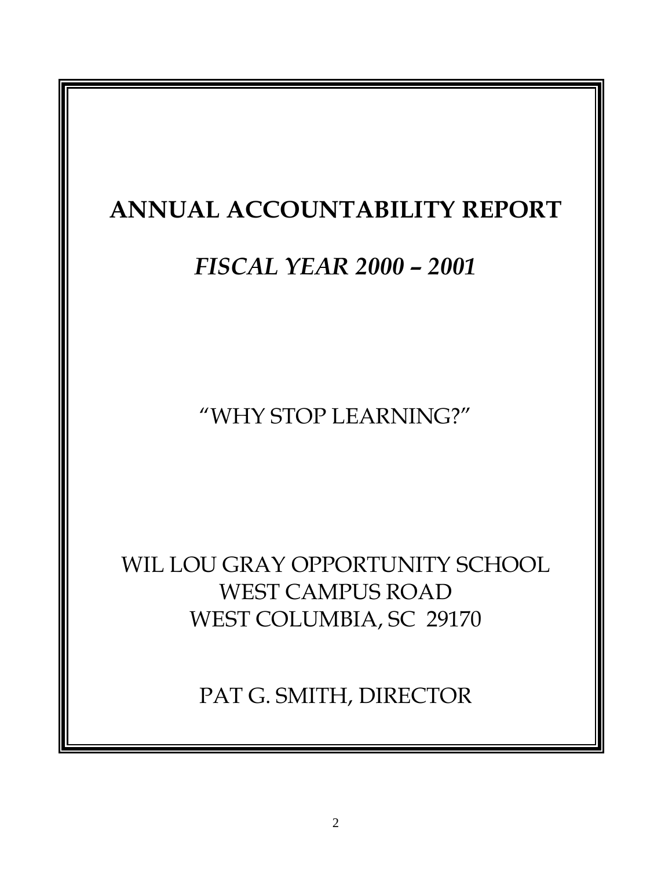# **ANNUAL ACCOUNTABILITY REPORT**

## *FISCAL YEAR 2000 – 2001*

"WHY STOP LEARNING?"

WIL LOU GRAY OPPORTUNITY SCHOOL WEST CAMPUS ROAD WEST COLUMBIA, SC 29170

PAT G. SMITH, DIRECTOR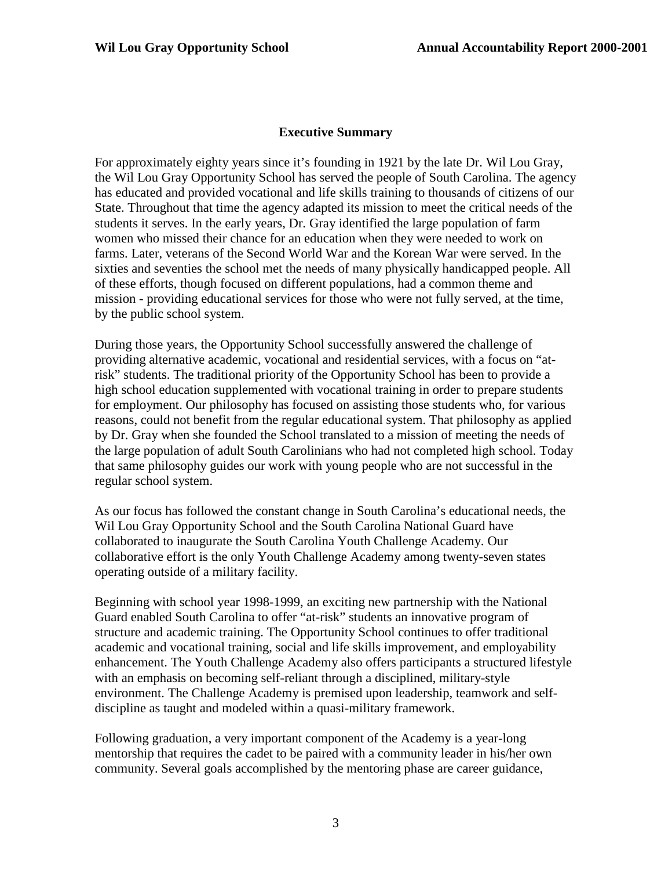#### **Executive Summary**

For approximately eighty years since it's founding in 1921 by the late Dr. Wil Lou Gray, the Wil Lou Gray Opportunity School has served the people of South Carolina. The agency has educated and provided vocational and life skills training to thousands of citizens of our State. Throughout that time the agency adapted its mission to meet the critical needs of the students it serves. In the early years, Dr. Gray identified the large population of farm women who missed their chance for an education when they were needed to work on farms. Later, veterans of the Second World War and the Korean War were served. In the sixties and seventies the school met the needs of many physically handicapped people. All of these efforts, though focused on different populations, had a common theme and mission - providing educational services for those who were not fully served, at the time, by the public school system.

During those years, the Opportunity School successfully answered the challenge of providing alternative academic, vocational and residential services, with a focus on "atrisk" students. The traditional priority of the Opportunity School has been to provide a high school education supplemented with vocational training in order to prepare students for employment. Our philosophy has focused on assisting those students who, for various reasons, could not benefit from the regular educational system. That philosophy as applied by Dr. Gray when she founded the School translated to a mission of meeting the needs of the large population of adult South Carolinians who had not completed high school. Today that same philosophy guides our work with young people who are not successful in the regular school system.

As our focus has followed the constant change in South Carolina's educational needs, the Wil Lou Gray Opportunity School and the South Carolina National Guard have collaborated to inaugurate the South Carolina Youth Challenge Academy. Our collaborative effort is the only Youth Challenge Academy among twenty-seven states operating outside of a military facility.

Beginning with school year 1998-1999, an exciting new partnership with the National Guard enabled South Carolina to offer "at-risk" students an innovative program of structure and academic training. The Opportunity School continues to offer traditional academic and vocational training, social and life skills improvement, and employability enhancement. The Youth Challenge Academy also offers participants a structured lifestyle with an emphasis on becoming self-reliant through a disciplined, military-style environment. The Challenge Academy is premised upon leadership, teamwork and selfdiscipline as taught and modeled within a quasi-military framework.

Following graduation, a very important component of the Academy is a year-long mentorship that requires the cadet to be paired with a community leader in his/her own community. Several goals accomplished by the mentoring phase are career guidance,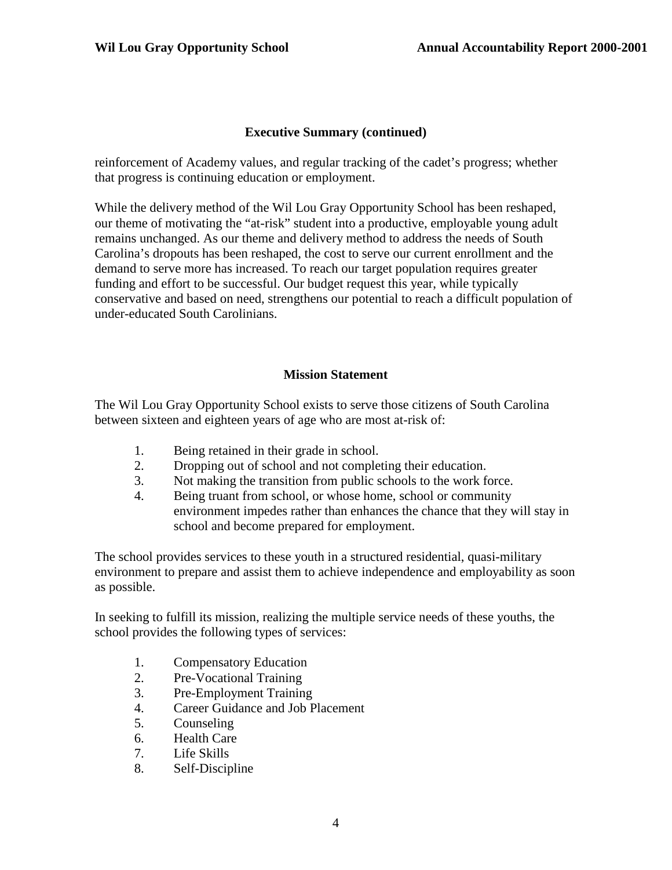#### **Executive Summary (continued)**

reinforcement of Academy values, and regular tracking of the cadet's progress; whether that progress is continuing education or employment.

While the delivery method of the Wil Lou Gray Opportunity School has been reshaped, our theme of motivating the "at-risk" student into a productive, employable young adult remains unchanged. As our theme and delivery method to address the needs of South Carolina's dropouts has been reshaped, the cost to serve our current enrollment and the demand to serve more has increased. To reach our target population requires greater funding and effort to be successful. Our budget request this year, while typically conservative and based on need, strengthens our potential to reach a difficult population of under-educated South Carolinians.

#### **Mission Statement**

The Wil Lou Gray Opportunity School exists to serve those citizens of South Carolina between sixteen and eighteen years of age who are most at-risk of:

- 1. Being retained in their grade in school.
- 2. Dropping out of school and not completing their education.
- 3. Not making the transition from public schools to the work force.
- 4. Being truant from school, or whose home, school or community environment impedes rather than enhances the chance that they will stay in school and become prepared for employment.

The school provides services to these youth in a structured residential, quasi-military environment to prepare and assist them to achieve independence and employability as soon as possible.

In seeking to fulfill its mission, realizing the multiple service needs of these youths, the school provides the following types of services:

- 1. Compensatory Education
- 2. Pre-Vocational Training
- 3. Pre-Employment Training
- 4. Career Guidance and Job Placement
- 5. Counseling
- 6. Health Care
- 7. Life Skills
- 8. Self-Discipline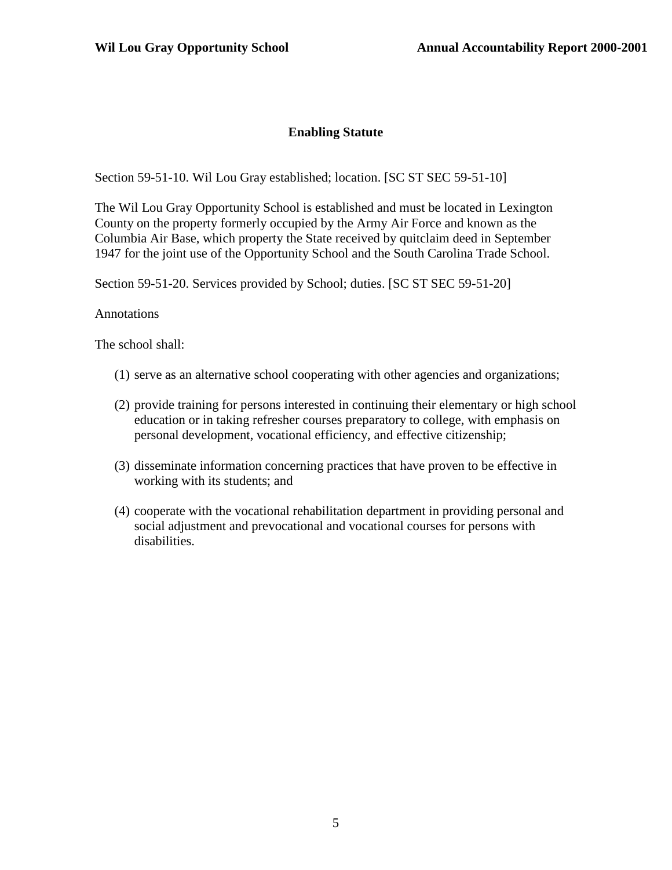#### **Enabling Statute**

Section 59-51-10. Wil Lou Gray established; location. [SC ST SEC 59-51-10]

The Wil Lou Gray Opportunity School is established and must be located in Lexington County on the property formerly occupied by the Army Air Force and known as the Columbia Air Base, which property the State received by quitclaim deed in September 1947 for the joint use of the Opportunity School and the South Carolina Trade School.

Section 59-51-20. Services provided by School; duties. [SC ST SEC 59-51-20]

#### Annotations

The school shall:

- (1) serve as an alternative school cooperating with other agencies and organizations;
- (2) provide training for persons interested in continuing their elementary or high school education or in taking refresher courses preparatory to college, with emphasis on personal development, vocational efficiency, and effective citizenship;
- (3) disseminate information concerning practices that have proven to be effective in working with its students; and
- (4) cooperate with the vocational rehabilitation department in providing personal and social adjustment and prevocational and vocational courses for persons with disabilities.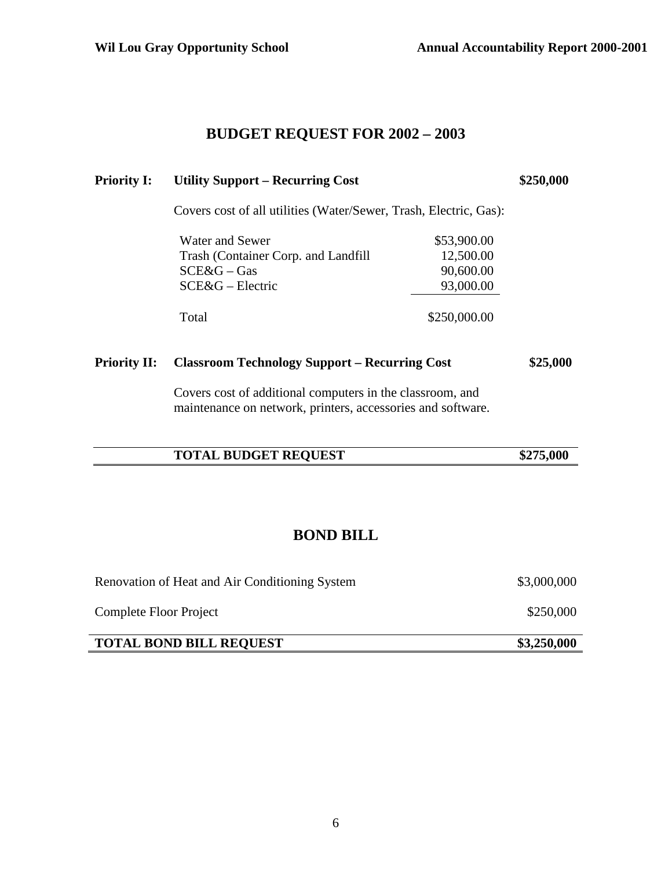## **BUDGET REQUEST FOR 2002 – 2003**

| <b>Priority I:</b>  | <b>Utility Support – Recurring Cost</b>                                                                                                                                                                                                                                                                                                                                                                                                                      | \$250,000    |  |
|---------------------|--------------------------------------------------------------------------------------------------------------------------------------------------------------------------------------------------------------------------------------------------------------------------------------------------------------------------------------------------------------------------------------------------------------------------------------------------------------|--------------|--|
|                     | Covers cost of all utilities (Water/Sewer, Trash, Electric, Gas):                                                                                                                                                                                                                                                                                                                                                                                            |              |  |
|                     | Water and Sewer                                                                                                                                                                                                                                                                                                                                                                                                                                              | \$53,900.00  |  |
|                     | Trash (Container Corp. and Landfill)                                                                                                                                                                                                                                                                                                                                                                                                                         | 12,500.00    |  |
|                     | $SCE&G-Gas$                                                                                                                                                                                                                                                                                                                                                                                                                                                  | 90,600.00    |  |
|                     | $SCE&G$ – Electric                                                                                                                                                                                                                                                                                                                                                                                                                                           | 93,000.00    |  |
|                     | Total                                                                                                                                                                                                                                                                                                                                                                                                                                                        | \$250,000.00 |  |
| <b>Priority II:</b> | <b>Classroom Technology Support – Recurring Cost</b>                                                                                                                                                                                                                                                                                                                                                                                                         | \$25,000     |  |
|                     | $\mathcal{L} = \mathcal{L} = \mathcal{L} = \mathcal{L} = \mathcal{L} = \mathcal{L} = \mathcal{L} = \mathcal{L} = \mathcal{L} = \mathcal{L} = \mathcal{L} = \mathcal{L} = \mathcal{L} = \mathcal{L} = \mathcal{L} = \mathcal{L} = \mathcal{L} = \mathcal{L} = \mathcal{L} = \mathcal{L} = \mathcal{L} = \mathcal{L} = \mathcal{L} = \mathcal{L} = \mathcal{L} = \mathcal{L} = \mathcal{L} = \mathcal{L} = \mathcal{L} = \mathcal{L} = \mathcal{L} = \mathcal$ |              |  |

Covers cost of additional computers in the classroom, and maintenance on network, printers, accessories and software.

| <b>TOTAL BUDGET REQUEST</b> | \$275,000 |
|-----------------------------|-----------|
|-----------------------------|-----------|

### **BOND BILL**

| Renovation of Heat and Air Conditioning System | \$3,000,000 |
|------------------------------------------------|-------------|
| Complete Floor Project                         | \$250,000   |
| <b>TOTAL BOND BILL REQUEST</b>                 | \$3,250,000 |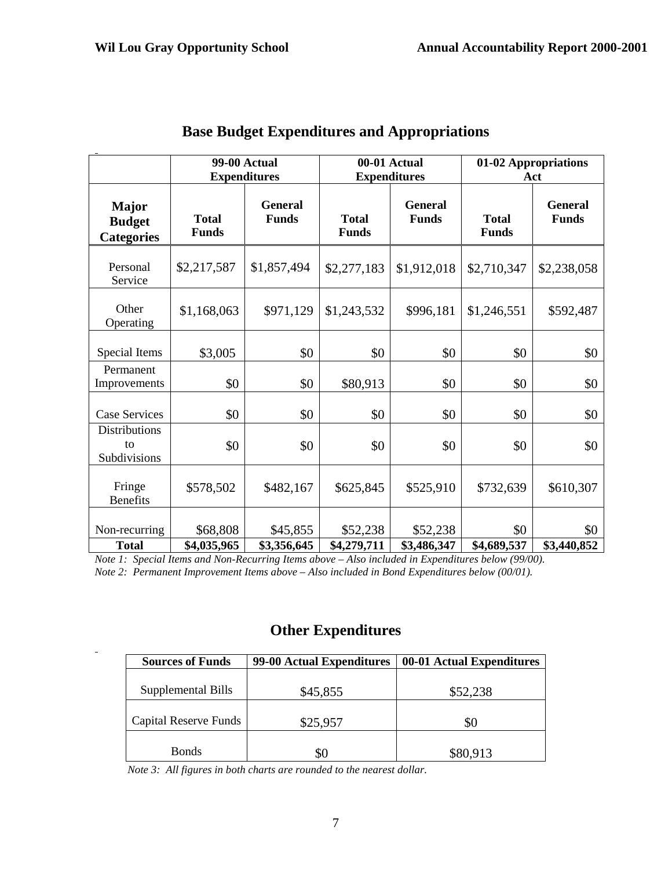à.

|                                                    | <b>99-00 Actual</b><br><b>Expenditures</b> |                                | 00-01 Actual<br><b>Expenditures</b> |                                | 01-02 Appropriations<br>Act  |                                |
|----------------------------------------------------|--------------------------------------------|--------------------------------|-------------------------------------|--------------------------------|------------------------------|--------------------------------|
| <b>Major</b><br><b>Budget</b><br><b>Categories</b> | <b>Total</b><br><b>Funds</b>               | <b>General</b><br><b>Funds</b> | <b>Total</b><br><b>Funds</b>        | <b>General</b><br><b>Funds</b> | <b>Total</b><br><b>Funds</b> | <b>General</b><br><b>Funds</b> |
| Personal<br>Service                                | \$2,217,587                                | \$1,857,494                    | \$2,277,183                         | \$1,912,018                    | \$2,710,347                  | \$2,238,058                    |
| Other<br>Operating                                 | \$1,168,063                                | \$971,129                      | \$1,243,532                         | \$996,181                      | \$1,246,551                  | \$592,487                      |
| Special Items                                      | \$3,005                                    | \$0                            | \$0                                 | \$0                            | \$0                          | \$0                            |
| Permanent<br>Improvements                          | \$0                                        | \$0                            | \$80,913                            | \$0                            | \$0                          | \$0                            |
| <b>Case Services</b>                               | \$0                                        | \$0                            | \$0                                 | \$0                            | \$0                          | \$0                            |
| <b>Distributions</b><br>to<br>Subdivisions         | \$0                                        | \$0                            | \$0                                 | \$0                            | \$0                          | \$0                            |
| Fringe<br><b>Benefits</b>                          | \$578,502                                  | \$482,167                      | \$625,845                           | \$525,910                      | \$732,639                    | \$610,307                      |
| Non-recurring<br><b>Total</b>                      | \$68,808<br>\$4,035,965                    | \$45,855<br>\$3,356,645        | \$52,238<br>\$4,279,711             | \$52,238<br>\$3,486,347        | \$0<br>\$4,689,537           | \$0<br>\$3,440,852             |

## **Base Budget Expenditures and Appropriations**

*Note 1: Special Items and Non-Recurring Items above – Also included in Expenditures below (99/00). Note 2: Permanent Improvement Items above – Also included in Bond Expenditures below (00/01).*

## **Other Expenditures**

| <b>Sources of Funds</b> | 99-00 Actual Expenditures | 00-01 Actual Expenditures |  |
|-------------------------|---------------------------|---------------------------|--|
|                         |                           |                           |  |
| Supplemental Bills      | \$45,855                  | \$52,238                  |  |
|                         |                           |                           |  |
| Capital Reserve Funds   | \$25,957                  |                           |  |
|                         |                           |                           |  |
| <b>Bonds</b>            | SC                        | \$80,913                  |  |

*Note 3: All figures in both charts are rounded to the nearest dollar.*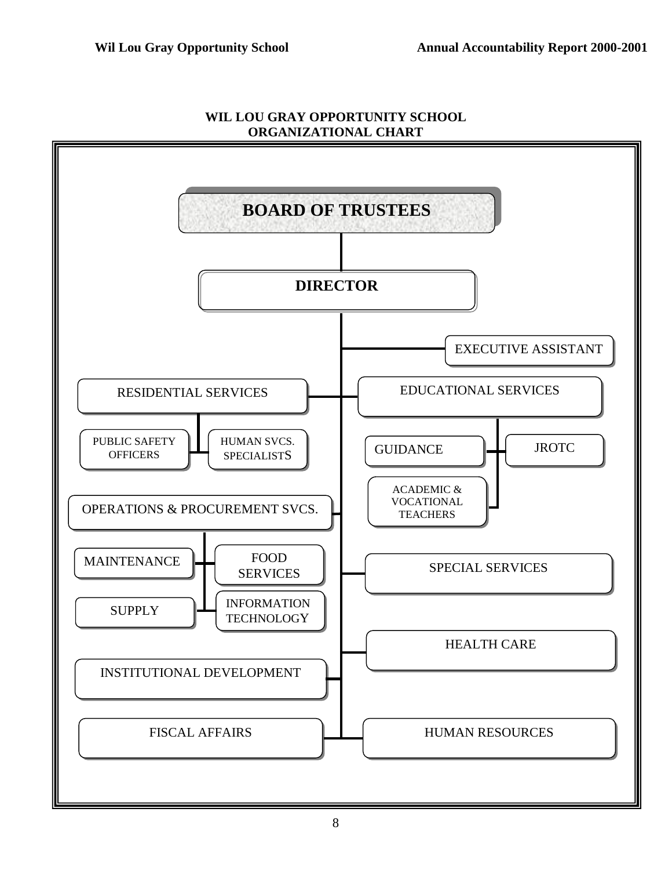

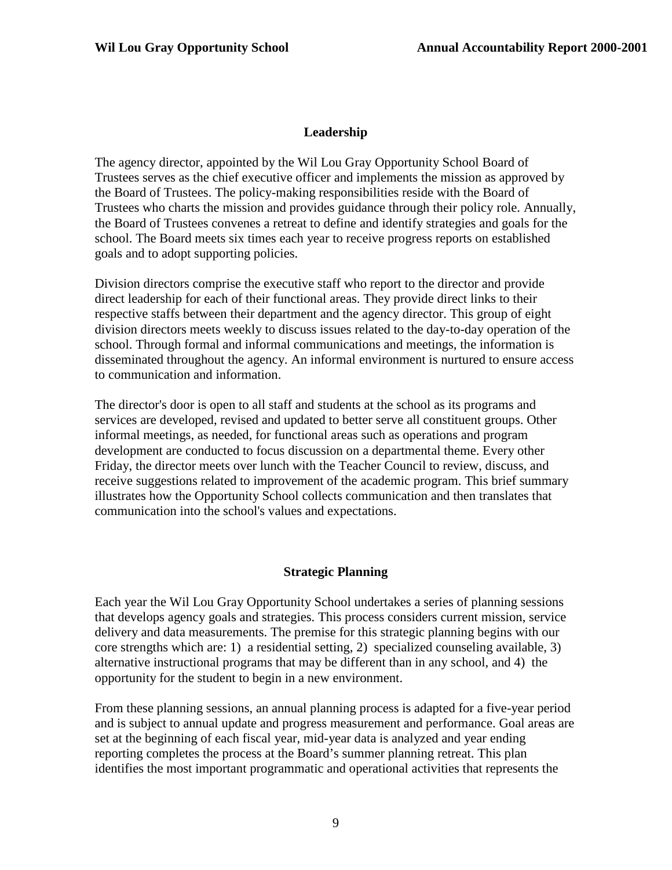#### **Leadership**

The agency director, appointed by the Wil Lou Gray Opportunity School Board of Trustees serves as the chief executive officer and implements the mission as approved by the Board of Trustees. The policy-making responsibilities reside with the Board of Trustees who charts the mission and provides guidance through their policy role. Annually, the Board of Trustees convenes a retreat to define and identify strategies and goals for the school. The Board meets six times each year to receive progress reports on established goals and to adopt supporting policies.

Division directors comprise the executive staff who report to the director and provide direct leadership for each of their functional areas. They provide direct links to their respective staffs between their department and the agency director. This group of eight division directors meets weekly to discuss issues related to the day-to-day operation of the school. Through formal and informal communications and meetings, the information is disseminated throughout the agency. An informal environment is nurtured to ensure access to communication and information.

The director's door is open to all staff and students at the school as its programs and services are developed, revised and updated to better serve all constituent groups. Other informal meetings, as needed, for functional areas such as operations and program development are conducted to focus discussion on a departmental theme. Every other Friday, the director meets over lunch with the Teacher Council to review, discuss, and receive suggestions related to improvement of the academic program. This brief summary illustrates how the Opportunity School collects communication and then translates that communication into the school's values and expectations.

#### **Strategic Planning**

Each year the Wil Lou Gray Opportunity School undertakes a series of planning sessions that develops agency goals and strategies. This process considers current mission, service delivery and data measurements. The premise for this strategic planning begins with our core strengths which are: 1) a residential setting, 2) specialized counseling available, 3) alternative instructional programs that may be different than in any school, and 4) the opportunity for the student to begin in a new environment.

From these planning sessions, an annual planning process is adapted for a five-year period and is subject to annual update and progress measurement and performance. Goal areas are set at the beginning of each fiscal year, mid-year data is analyzed and year ending reporting completes the process at the Board's summer planning retreat. This plan identifies the most important programmatic and operational activities that represents the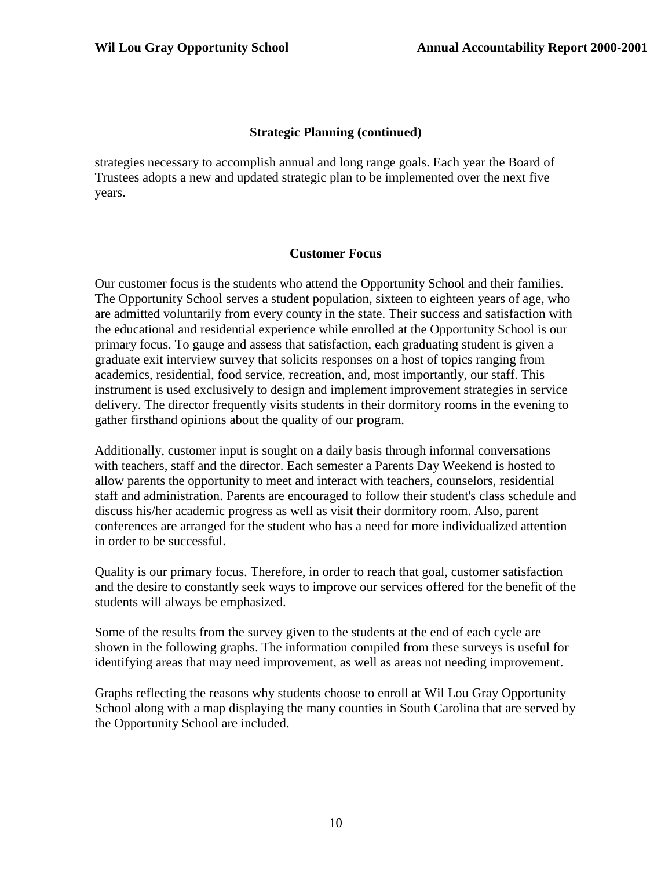#### **Strategic Planning (continued)**

strategies necessary to accomplish annual and long range goals. Each year the Board of Trustees adopts a new and updated strategic plan to be implemented over the next five years.

#### **Customer Focus**

Our customer focus is the students who attend the Opportunity School and their families. The Opportunity School serves a student population, sixteen to eighteen years of age, who are admitted voluntarily from every county in the state. Their success and satisfaction with the educational and residential experience while enrolled at the Opportunity School is our primary focus. To gauge and assess that satisfaction, each graduating student is given a graduate exit interview survey that solicits responses on a host of topics ranging from academics, residential, food service, recreation, and, most importantly, our staff. This instrument is used exclusively to design and implement improvement strategies in service delivery. The director frequently visits students in their dormitory rooms in the evening to gather firsthand opinions about the quality of our program.

Additionally, customer input is sought on a daily basis through informal conversations with teachers, staff and the director. Each semester a Parents Day Weekend is hosted to allow parents the opportunity to meet and interact with teachers, counselors, residential staff and administration. Parents are encouraged to follow their student's class schedule and discuss his/her academic progress as well as visit their dormitory room. Also, parent conferences are arranged for the student who has a need for more individualized attention in order to be successful.

Quality is our primary focus. Therefore, in order to reach that goal, customer satisfaction and the desire to constantly seek ways to improve our services offered for the benefit of the students will always be emphasized.

Some of the results from the survey given to the students at the end of each cycle are shown in the following graphs. The information compiled from these surveys is useful for identifying areas that may need improvement, as well as areas not needing improvement.

Graphs reflecting the reasons why students choose to enroll at Wil Lou Gray Opportunity School along with a map displaying the many counties in South Carolina that are served by the Opportunity School are included.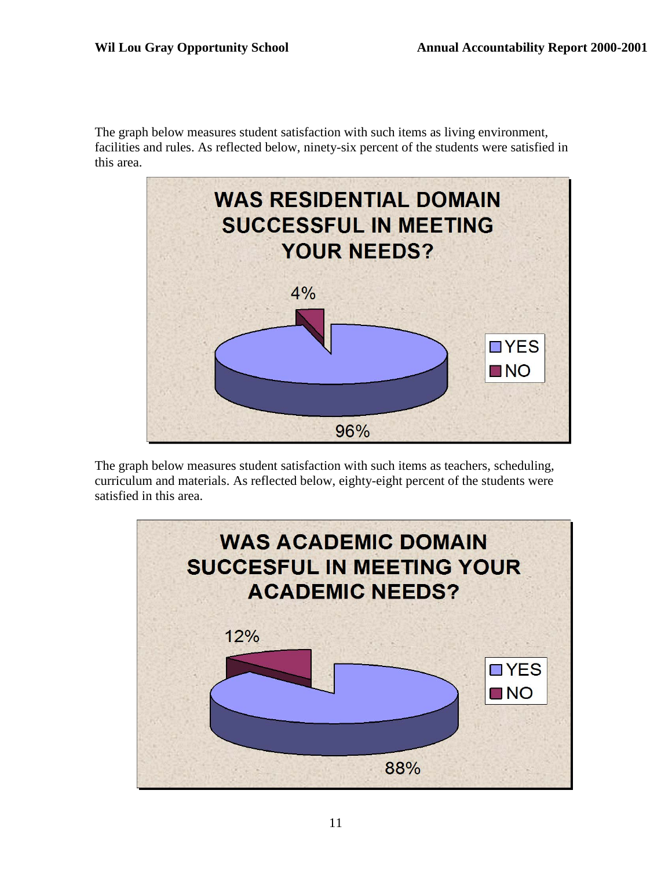The graph below measures student satisfaction with such items as living environment, facilities and rules. As reflected below, ninety-six percent of the students were satisfied in this area.



The graph below measures student satisfaction with such items as teachers, scheduling, curriculum and materials. As reflected below, eighty-eight percent of the students were satisfied in this area.

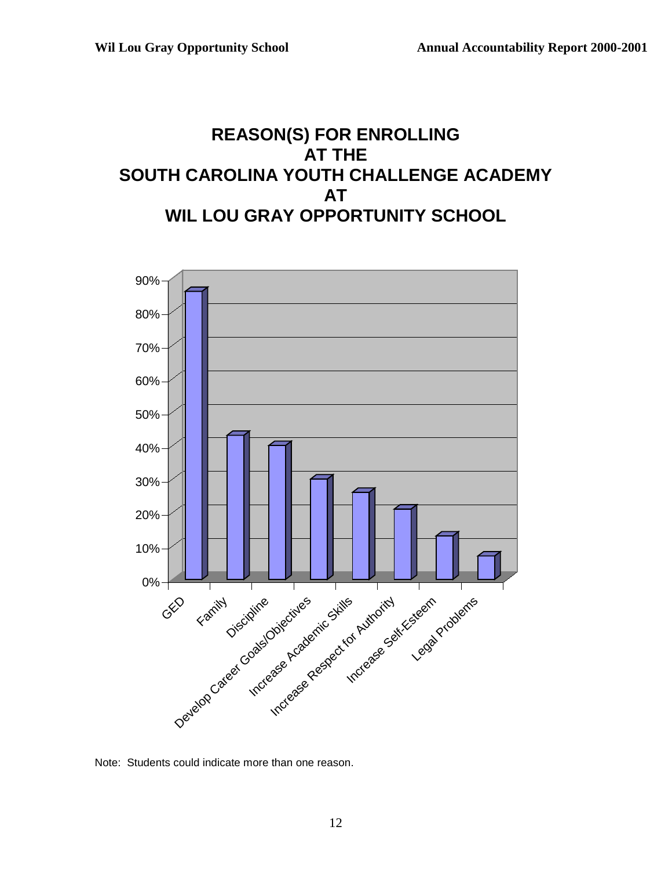## **REASON(S) FOR ENROLLING AT THE SOUTH CAROLINA YOUTH CHALLENGE ACADEMY AT WIL LOU GRAY OPPORTUNITY SCHOOL**



Note: Students could indicate more than one reason.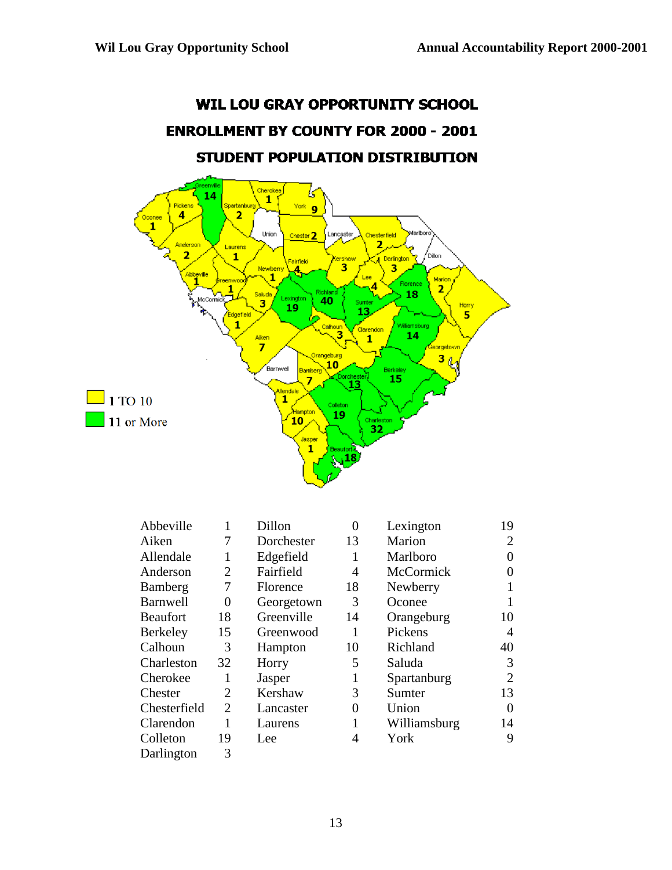## WIL LOU GRAY OPPORTUNITY SCHOOL **ENROLLMENT BY COUNTY FOR 2000 - 2001** STUDENT POPULATION DISTRIBUTION



| Abbeville       |    | Dillon     | 0  | Lexington    | 19             |
|-----------------|----|------------|----|--------------|----------------|
| Aiken           | 7  | Dorchester | 13 | Marion       | 2              |
| Allendale       | 1  | Edgefield  | 1  | Marlboro     | $\theta$       |
| Anderson        | 2  | Fairfield  | 4  | McCormick    | $\theta$       |
| Bamberg         | 7  | Florence   | 18 | Newberry     | 1              |
| <b>Barnwell</b> | 0  | Georgetown | 3  | Oconee       | 1              |
| <b>Beaufort</b> | 18 | Greenville | 14 | Orangeburg   | 10             |
| Berkeley        | 15 | Greenwood  |    | Pickens      | $\overline{4}$ |
| Calhoun         | 3  | Hampton    | 10 | Richland     | 40             |
| Charleston      | 32 | Horry      | 5  | Saluda       | 3              |
| Cherokee        |    | Jasper     |    | Spartanburg  | $\overline{2}$ |
| Chester         | 2  | Kershaw    | 3  | Sumter       | 13             |
| Chesterfield    | 2  | Lancaster  | 0  | Union        | $\theta$       |
| Clarendon       |    | Laurens    |    | Williamsburg | 14             |
| Colleton        | 19 | Lee        | 4  | York         | 9              |
| Darlington      | 3  |            |    |              |                |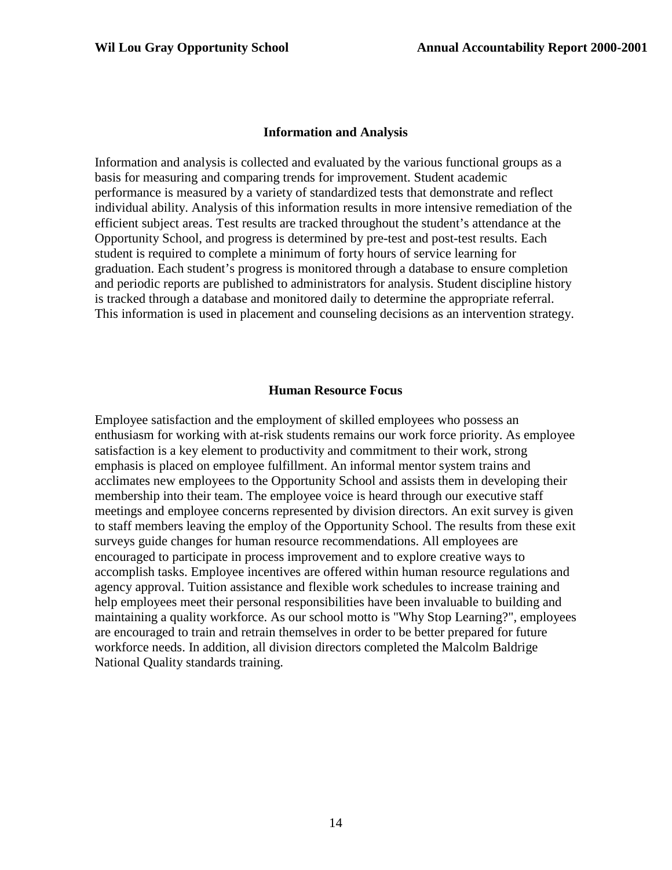#### **Information and Analysis**

Information and analysis is collected and evaluated by the various functional groups as a basis for measuring and comparing trends for improvement. Student academic performance is measured by a variety of standardized tests that demonstrate and reflect individual ability. Analysis of this information results in more intensive remediation of the efficient subject areas. Test results are tracked throughout the student's attendance at the Opportunity School, and progress is determined by pre-test and post-test results. Each student is required to complete a minimum of forty hours of service learning for graduation. Each student's progress is monitored through a database to ensure completion and periodic reports are published to administrators for analysis. Student discipline history is tracked through a database and monitored daily to determine the appropriate referral. This information is used in placement and counseling decisions as an intervention strategy.

#### **Human Resource Focus**

Employee satisfaction and the employment of skilled employees who possess an enthusiasm for working with at-risk students remains our work force priority. As employee satisfaction is a key element to productivity and commitment to their work, strong emphasis is placed on employee fulfillment. An informal mentor system trains and acclimates new employees to the Opportunity School and assists them in developing their membership into their team. The employee voice is heard through our executive staff meetings and employee concerns represented by division directors. An exit survey is given to staff members leaving the employ of the Opportunity School. The results from these exit surveys guide changes for human resource recommendations. All employees are encouraged to participate in process improvement and to explore creative ways to accomplish tasks. Employee incentives are offered within human resource regulations and agency approval. Tuition assistance and flexible work schedules to increase training and help employees meet their personal responsibilities have been invaluable to building and maintaining a quality workforce. As our school motto is "Why Stop Learning?", employees are encouraged to train and retrain themselves in order to be better prepared for future workforce needs. In addition, all division directors completed the Malcolm Baldrige National Quality standards training.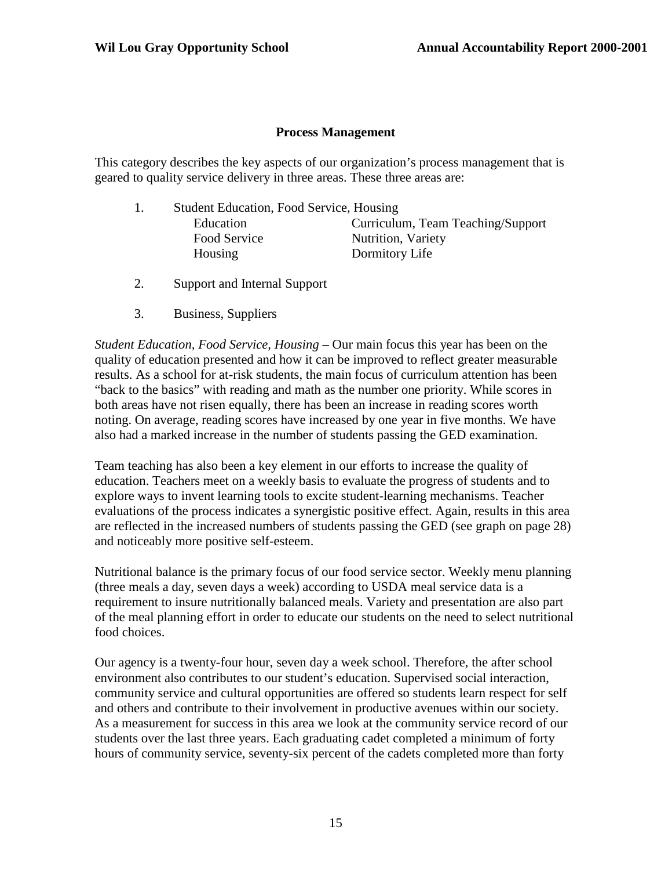#### **Process Management**

This category describes the key aspects of our organization's process management that is geared to quality service delivery in three areas. These three areas are:

- 1. Student Education, Food Service, Housing Education Curriculum, Team Teaching/Support Food Service Nutrition, Variety Housing Dormitory Life
- 2. Support and Internal Support
- 3. Business, Suppliers

*Student Education, Food Service, Housing –* Our main focus this year has been on the quality of education presented and how it can be improved to reflect greater measurable results. As a school for at-risk students, the main focus of curriculum attention has been "back to the basics" with reading and math as the number one priority. While scores in both areas have not risen equally, there has been an increase in reading scores worth noting. On average, reading scores have increased by one year in five months. We have also had a marked increase in the number of students passing the GED examination.

Team teaching has also been a key element in our efforts to increase the quality of education. Teachers meet on a weekly basis to evaluate the progress of students and to explore ways to invent learning tools to excite student-learning mechanisms. Teacher evaluations of the process indicates a synergistic positive effect. Again, results in this area are reflected in the increased numbers of students passing the GED (see graph on page 28) and noticeably more positive self-esteem.

Nutritional balance is the primary focus of our food service sector. Weekly menu planning (three meals a day, seven days a week) according to USDA meal service data is a requirement to insure nutritionally balanced meals. Variety and presentation are also part of the meal planning effort in order to educate our students on the need to select nutritional food choices.

Our agency is a twenty-four hour, seven day a week school. Therefore, the after school environment also contributes to our student's education. Supervised social interaction, community service and cultural opportunities are offered so students learn respect for self and others and contribute to their involvement in productive avenues within our society. As a measurement for success in this area we look at the community service record of our students over the last three years. Each graduating cadet completed a minimum of forty hours of community service, seventy-six percent of the cadets completed more than forty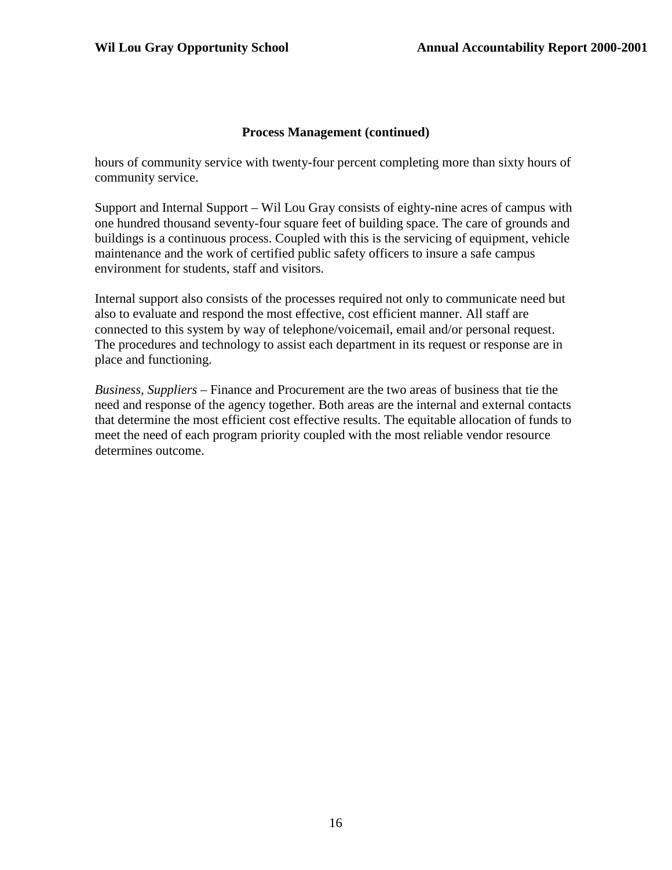#### **Process Management (continued)**

hours of community service with twenty-four percent completing more than sixty hours of community service.

Support and Internal Support – Wil Lou Gray consists of eighty-nine acres of campus with one hundred thousand seventy-four square feet of building space. The care of grounds and buildings is a continuous process. Coupled with this is the servicing of equipment, vehicle maintenance and the work of certified public safety officers to insure a safe campus environment for students, staff and visitors.

Internal support also consists of the processes required not only to communicate need but also to evaluate and respond the most effective, cost efficient manner. All staff are connected to this system by way of telephone/voicemail, email and/or personal request. The procedures and technology to assist each department in its request or response are in place and functioning.

*Business, Suppliers –* Finance and Procurement are the two areas of business that tie the need and response of the agency together. Both areas are the internal and external contacts that determine the most efficient cost effective results. The equitable allocation of funds to meet the need of each program priority coupled with the most reliable vendor resource determines outcome.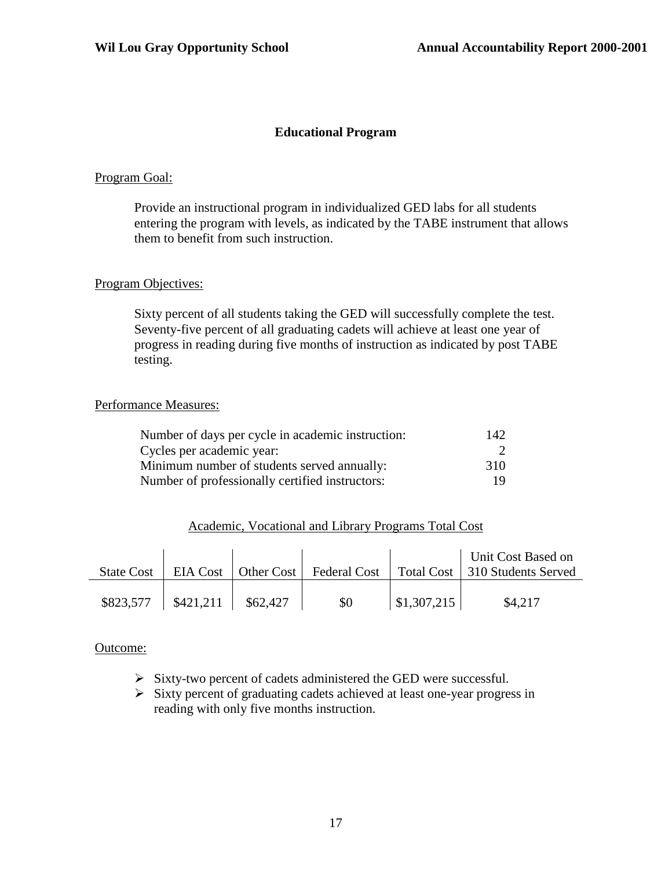#### **Educational Program**

#### Program Goal:

Provide an instructional program in individualized GED labs for all students entering the program with levels, as indicated by the TABE instrument that allows them to benefit from such instruction.

#### Program Objectives:

Sixty percent of all students taking the GED will successfully complete the test. Seventy-five percent of all graduating cadets will achieve at least one year of progress in reading during five months of instruction as indicated by post TABE testing.

#### Performance Measures:

| Number of days per cycle in academic instruction: | 142. |
|---------------------------------------------------|------|
| Cycles per academic year:                         |      |
| Minimum number of students served annually:       | 310  |
| Number of professionally certified instructors:   | 19   |

#### Academic, Vocational and Library Programs Total Cost

| <b>State Cost</b> |                      |     |                     | Unit Cost Based on<br>EIA Cost   Other Cost   Federal Cost   Total Cost   310 Students Served |
|-------------------|----------------------|-----|---------------------|-----------------------------------------------------------------------------------------------|
| \$823,577         | $$421,211$ $$62,427$ | \$0 | $\vert$ \$1,307,215 | \$4.217                                                                                       |

#### Outcome:

- $\triangleright$  Sixty-two percent of cadets administered the GED were successful.
- $\triangleright$  Sixty percent of graduating cadets achieved at least one-year progress in reading with only five months instruction.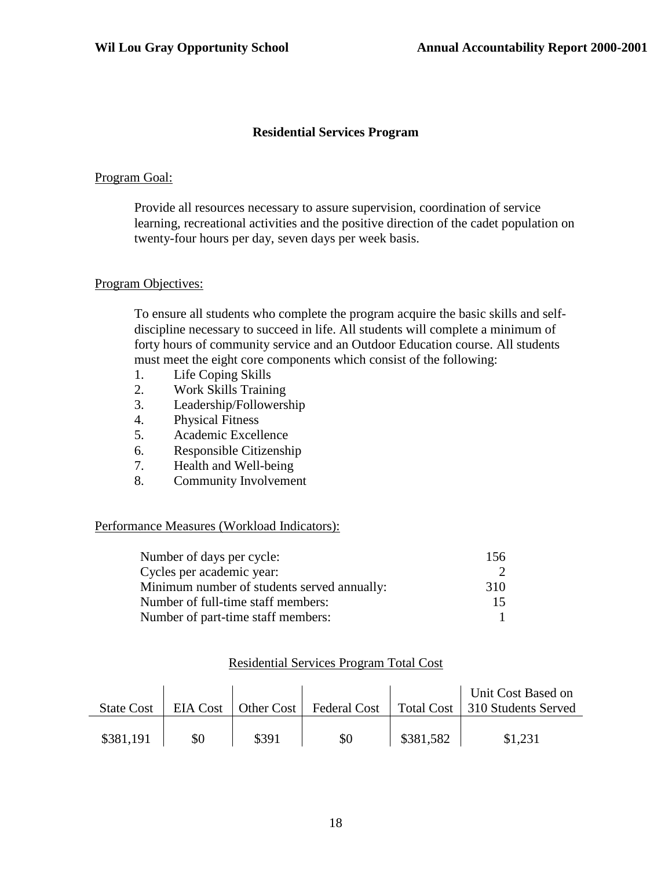#### **Residential Services Program**

#### Program Goal:

Provide all resources necessary to assure supervision, coordination of service learning, recreational activities and the positive direction of the cadet population on twenty-four hours per day, seven days per week basis.

#### Program Objectives:

To ensure all students who complete the program acquire the basic skills and selfdiscipline necessary to succeed in life. All students will complete a minimum of forty hours of community service and an Outdoor Education course. All students must meet the eight core components which consist of the following:

- 1. Life Coping Skills
- 2. Work Skills Training
- 3. Leadership/Followership
- 4. Physical Fitness
- 5. Academic Excellence
- 6. Responsible Citizenship
- 7. Health and Well-being
- 8. Community Involvement

#### Performance Measures (Workload Indicators):

| Number of days per cycle:                   | 156 |
|---------------------------------------------|-----|
| Cycles per academic year:                   |     |
| Minimum number of students served annually: | 310 |
| Number of full-time staff members:          | 15  |
| Number of part-time staff members:          |     |

#### Residential Services Program Total Cost

| <b>State Cost</b> |     | EIA Cost   Other Cost | Federal Cost |           | Unit Cost Based on<br>Total Cost   310 Students Served |
|-------------------|-----|-----------------------|--------------|-----------|--------------------------------------------------------|
| \$381,191         | \$0 | \$391                 | \$0          | \$381,582 | \$1,231                                                |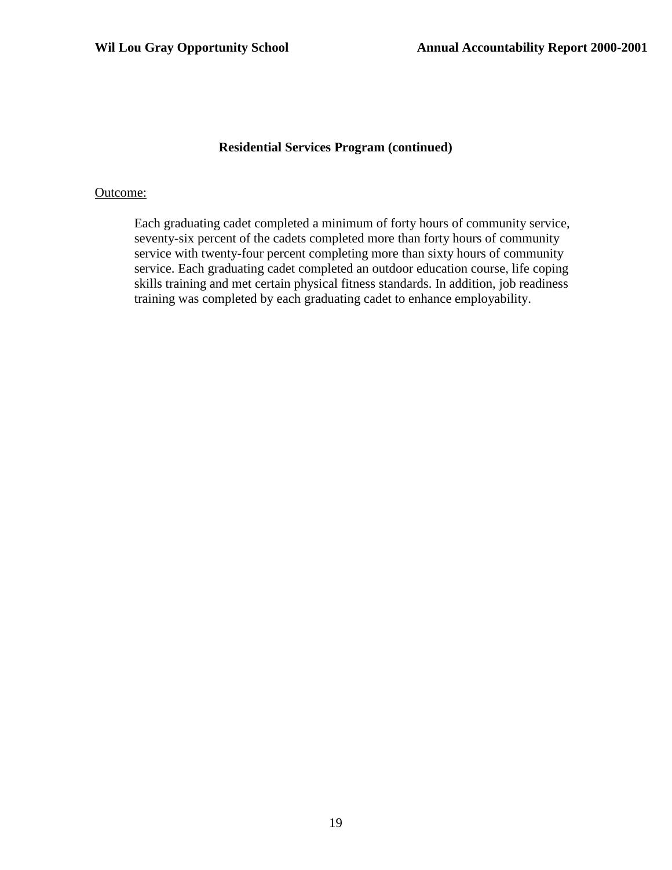#### **Residential Services Program (continued)**

#### Outcome:

Each graduating cadet completed a minimum of forty hours of community service, seventy-six percent of the cadets completed more than forty hours of community service with twenty-four percent completing more than sixty hours of community service. Each graduating cadet completed an outdoor education course, life coping skills training and met certain physical fitness standards. In addition, job readiness training was completed by each graduating cadet to enhance employability.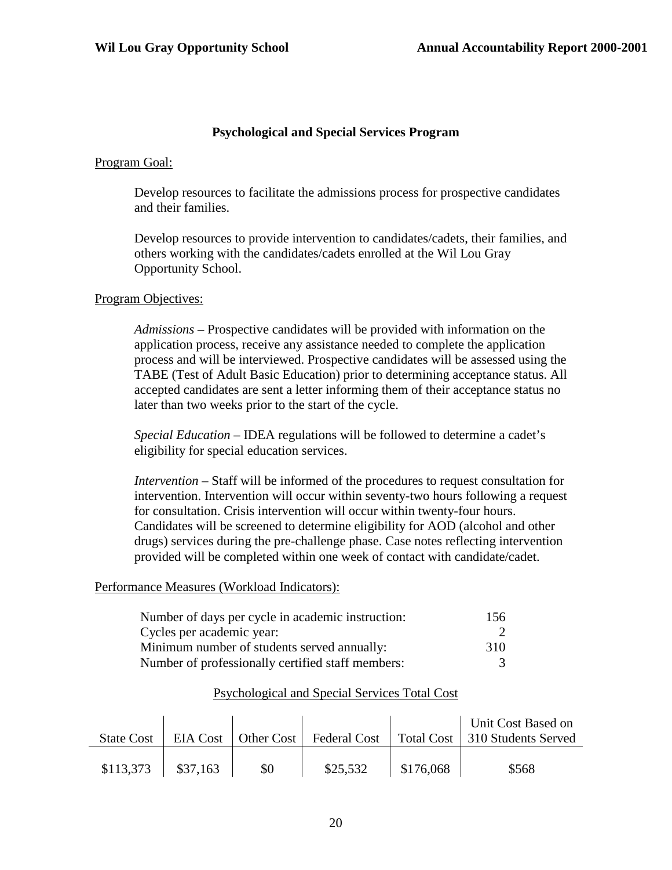#### **Psychological and Special Services Program**

#### Program Goal:

Develop resources to facilitate the admissions process for prospective candidates and their families.

Develop resources to provide intervention to candidates/cadets, their families, and others working with the candidates/cadets enrolled at the Wil Lou Gray Opportunity School.

#### Program Objectives:

*Admissions* – Prospective candidates will be provided with information on the application process, receive any assistance needed to complete the application process and will be interviewed. Prospective candidates will be assessed using the TABE (Test of Adult Basic Education) prior to determining acceptance status. All accepted candidates are sent a letter informing them of their acceptance status no later than two weeks prior to the start of the cycle.

*Special Education* – IDEA regulations will be followed to determine a cadet's eligibility for special education services.

*Intervention* – Staff will be informed of the procedures to request consultation for intervention. Intervention will occur within seventy-two hours following a request for consultation. Crisis intervention will occur within twenty-four hours. Candidates will be screened to determine eligibility for AOD (alcohol and other drugs) services during the pre-challenge phase. Case notes reflecting intervention provided will be completed within one week of contact with candidate/cadet.

#### Performance Measures (Workload Indicators):

| Number of days per cycle in academic instruction: | 156 |
|---------------------------------------------------|-----|
| Cycles per academic year:                         |     |
| Minimum number of students served annually:       | 310 |
| Number of professionally certified staff members: |     |

#### Psychological and Special Services Total Cost

| <b>State Cost</b> |          |     |          |           | Unit Cost Based on<br>EIA Cost   Other Cost   Federal Cost   Total Cost   310 Students Served |
|-------------------|----------|-----|----------|-----------|-----------------------------------------------------------------------------------------------|
| \$113,373         | \$37,163 | \$0 | \$25,532 | \$176,068 | \$568                                                                                         |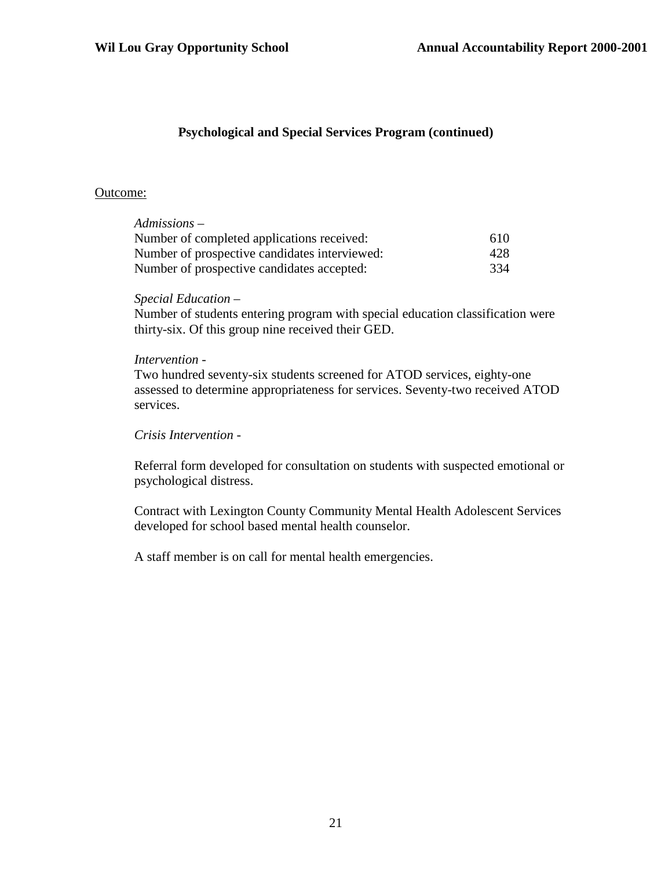#### **Psychological and Special Services Program (continued)**

#### Outcome:

| $Admissions -$                                |     |
|-----------------------------------------------|-----|
| Number of completed applications received:    | 610 |
| Number of prospective candidates interviewed: | 428 |
| Number of prospective candidates accepted:    | 334 |

#### *Special Education* –

Number of students entering program with special education classification were thirty-six. Of this group nine received their GED.

#### *Intervention* -

Two hundred seventy-six students screened for ATOD services, eighty-one assessed to determine appropriateness for services. Seventy-two received ATOD services.

#### *Crisis Intervention -*

Referral form developed for consultation on students with suspected emotional or psychological distress.

Contract with Lexington County Community Mental Health Adolescent Services developed for school based mental health counselor.

A staff member is on call for mental health emergencies.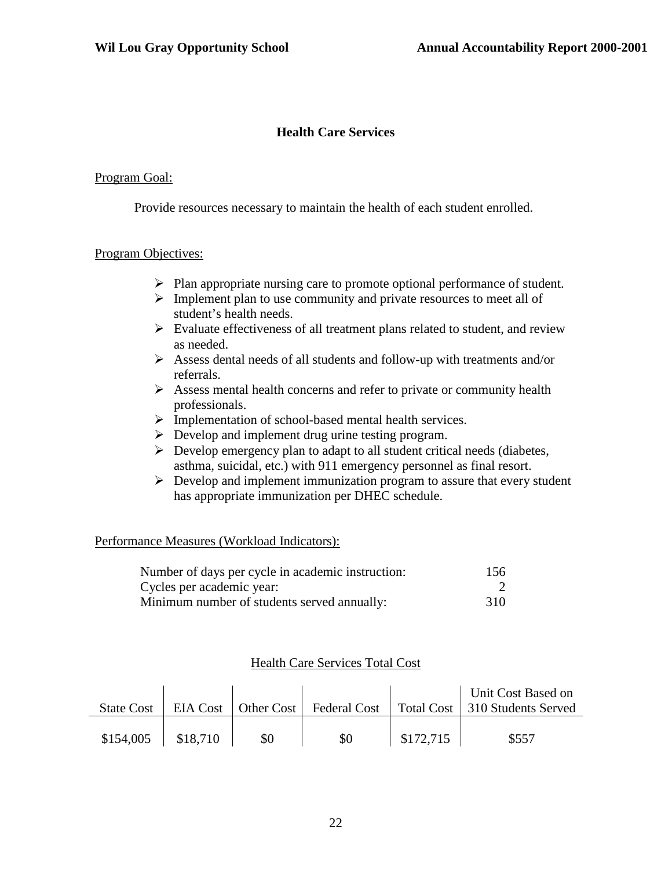#### **Health Care Services**

#### Program Goal:

Provide resources necessary to maintain the health of each student enrolled.

#### Program Objectives:

- $\triangleright$  Plan appropriate nursing care to promote optional performance of student.
- $\triangleright$  Implement plan to use community and private resources to meet all of student's health needs.
- $\triangleright$  Evaluate effectiveness of all treatment plans related to student, and review as needed.
- Assess dental needs of all students and follow-up with treatments and/or referrals.
- $\triangleright$  Assess mental health concerns and refer to private or community health professionals.
- > Implementation of school-based mental health services.
- $\triangleright$  Develop and implement drug urine testing program.
- $\triangleright$  Develop emergency plan to adapt to all student critical needs (diabetes, asthma, suicidal, etc.) with 911 emergency personnel as final resort.
- $\triangleright$  Develop and implement immunization program to assure that every student has appropriate immunization per DHEC schedule.

#### Performance Measures (Workload Indicators):

| Number of days per cycle in academic instruction: | -156 |
|---------------------------------------------------|------|
| Cycles per academic year:                         |      |
| Minimum number of students served annually:       | 310  |

#### Health Care Services Total Cost

| <b>State Cost</b> |          |     |     |           | Unit Cost Based on<br>EIA Cost   Other Cost   Federal Cost   Total Cost   310 Students Served |
|-------------------|----------|-----|-----|-----------|-----------------------------------------------------------------------------------------------|
| \$154,005         | \$18.710 | \$0 | \$0 | \$172,715 | \$557                                                                                         |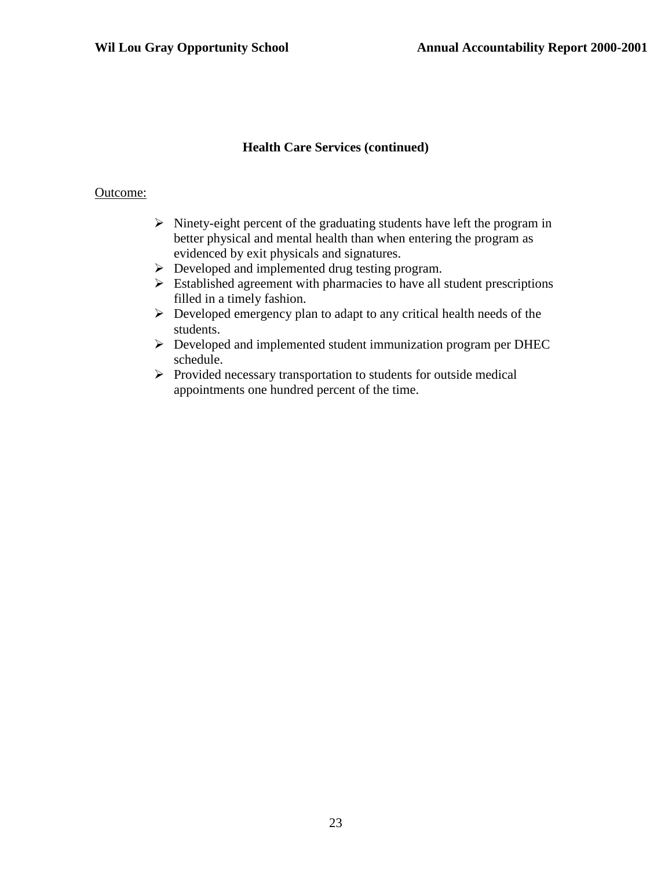#### **Health Care Services (continued)**

#### Outcome:

- $\triangleright$  Ninety-eight percent of the graduating students have left the program in better physical and mental health than when entering the program as evidenced by exit physicals and signatures.
- Developed and implemented drug testing program.
- $\triangleright$  Established agreement with pharmacies to have all student prescriptions filled in a timely fashion.
- $\triangleright$  Developed emergency plan to adapt to any critical health needs of the students.
- Developed and implemented student immunization program per DHEC schedule.
- $\triangleright$  Provided necessary transportation to students for outside medical appointments one hundred percent of the time.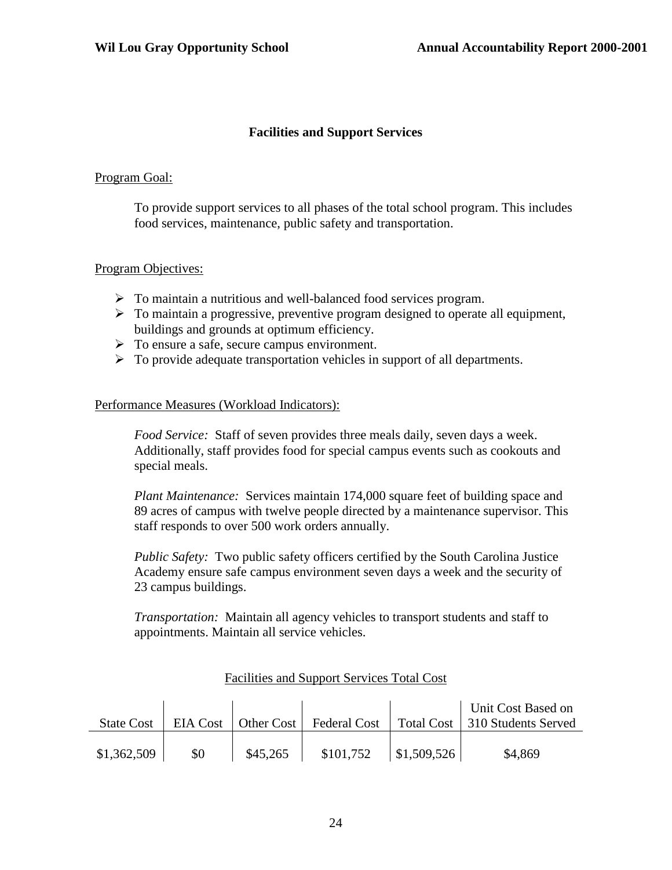#### **Facilities and Support Services**

#### Program Goal:

To provide support services to all phases of the total school program. This includes food services, maintenance, public safety and transportation.

#### Program Objectives:

- To maintain a nutritious and well-balanced food services program.
- $\triangleright$  To maintain a progressive, preventive program designed to operate all equipment, buildings and grounds at optimum efficiency.
- $\triangleright$  To ensure a safe, secure campus environment.
- $\triangleright$  To provide adequate transportation vehicles in support of all departments.

#### Performance Measures (Workload Indicators):

*Food Service:* Staff of seven provides three meals daily, seven days a week. Additionally, staff provides food for special campus events such as cookouts and special meals.

*Plant Maintenance:* Services maintain 174,000 square feet of building space and 89 acres of campus with twelve people directed by a maintenance supervisor. This staff responds to over 500 work orders annually.

*Public Safety:* Two public safety officers certified by the South Carolina Justice Academy ensure safe campus environment seven days a week and the security of 23 campus buildings.

*Transportation:* Maintain all agency vehicles to transport students and staff to appointments. Maintain all service vehicles.

| <b>State Cost</b> |     |          |           |                             | Unit Cost Based on<br>EIA Cost   Other Cost   Federal Cost   Total Cost   310 Students Served |
|-------------------|-----|----------|-----------|-----------------------------|-----------------------------------------------------------------------------------------------|
| \$1,362,509       | \$0 | \$45,265 | \$101,752 | $\vert$ \$1,509,526 $\vert$ | \$4,869                                                                                       |

#### Facilities and Support Services Total Cost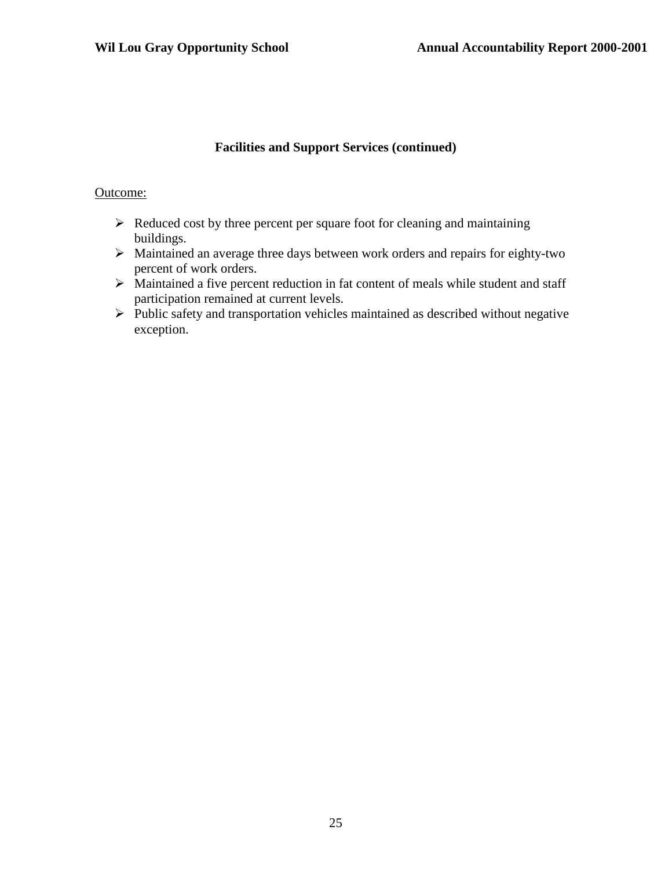#### **Facilities and Support Services (continued)**

#### Outcome:

- $\triangleright$  Reduced cost by three percent per square foot for cleaning and maintaining buildings.
- $\triangleright$  Maintained an average three days between work orders and repairs for eighty-two percent of work orders.
- $\triangleright$  Maintained a five percent reduction in fat content of meals while student and staff participation remained at current levels.
- $\triangleright$  Public safety and transportation vehicles maintained as described without negative exception.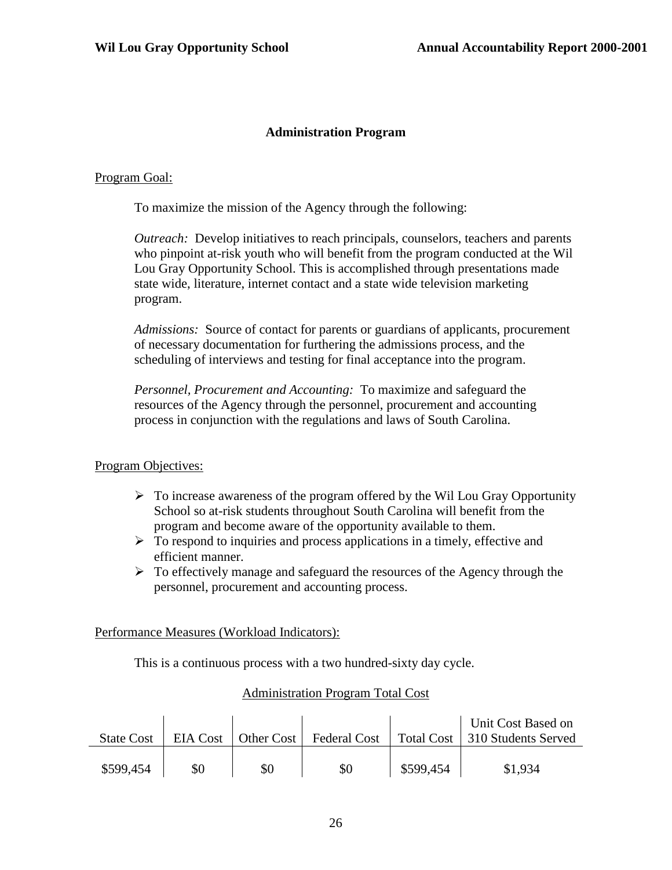#### **Administration Program**

#### Program Goal:

To maximize the mission of the Agency through the following:

*Outreach:* Develop initiatives to reach principals, counselors, teachers and parents who pinpoint at-risk youth who will benefit from the program conducted at the Wil Lou Gray Opportunity School. This is accomplished through presentations made state wide, literature, internet contact and a state wide television marketing program.

*Admissions:* Source of contact for parents or guardians of applicants, procurement of necessary documentation for furthering the admissions process, and the scheduling of interviews and testing for final acceptance into the program.

*Personnel, Procurement and Accounting:* To maximize and safeguard the resources of the Agency through the personnel, procurement and accounting process in conjunction with the regulations and laws of South Carolina.

#### Program Objectives:

- $\triangleright$  To increase awareness of the program offered by the Wil Lou Gray Opportunity School so at-risk students throughout South Carolina will benefit from the program and become aware of the opportunity available to them.
- $\triangleright$  To respond to inquiries and process applications in a timely, effective and efficient manner.
- $\triangleright$  To effectively manage and safeguard the resources of the Agency through the personnel, procurement and accounting process.

#### Performance Measures (Workload Indicators):

This is a continuous process with a two hundred-sixty day cycle.

#### Administration Program Total Cost

| <b>State Cost</b> |     |     |     |           | Unit Cost Based on<br>EIA Cost   Other Cost   Federal Cost   Total Cost   310 Students Served |
|-------------------|-----|-----|-----|-----------|-----------------------------------------------------------------------------------------------|
| \$599,454         | \$0 | \$0 | \$0 | \$599,454 | \$1,934                                                                                       |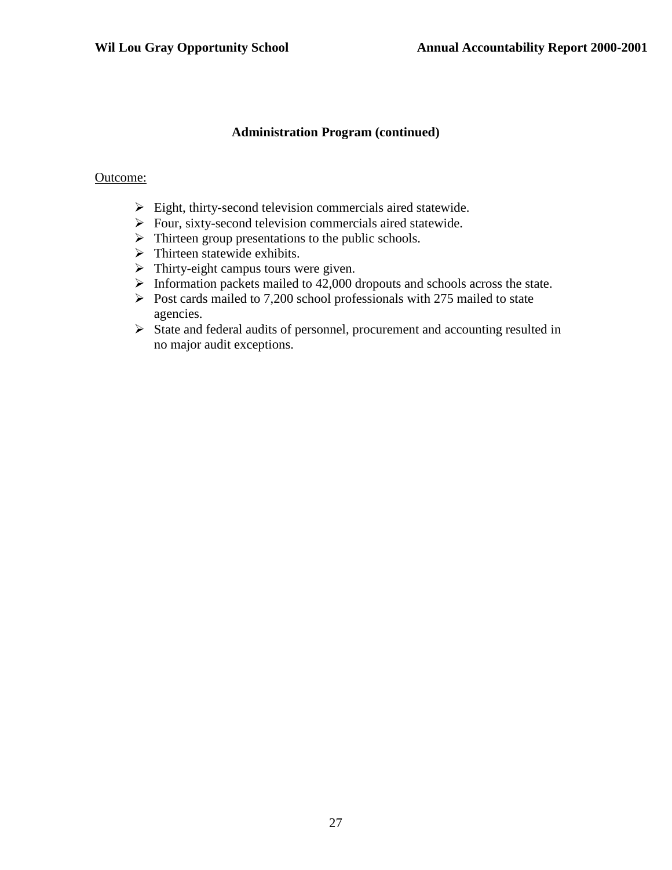#### **Administration Program (continued)**

#### Outcome:

- $\triangleright$  Eight, thirty-second television commercials aired statewide.
- $\triangleright$  Four, sixty-second television commercials aired statewide.
- $\triangleright$  Thirteen group presentations to the public schools.
- $\triangleright$  Thirteen statewide exhibits.
- $\triangleright$  Thirty-eight campus tours were given.
- $\triangleright$  Information packets mailed to 42,000 dropouts and schools across the state.
- $\triangleright$  Post cards mailed to 7,200 school professionals with 275 mailed to state agencies.
- $\triangleright$  State and federal audits of personnel, procurement and accounting resulted in no major audit exceptions.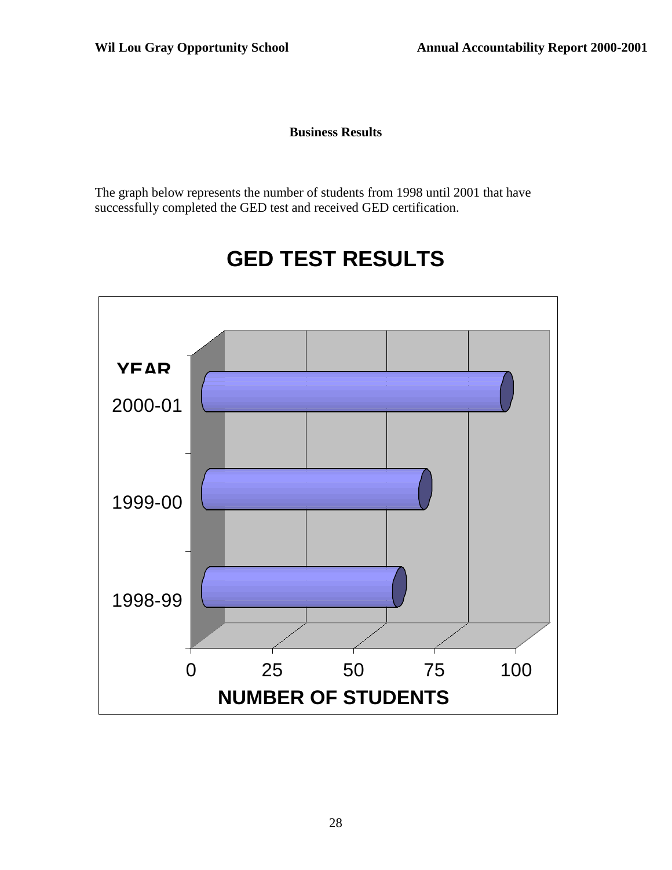#### **Business Results**

The graph below represents the number of students from 1998 until 2001 that have successfully completed the GED test and received GED certification.



# **GED TEST RESULTS**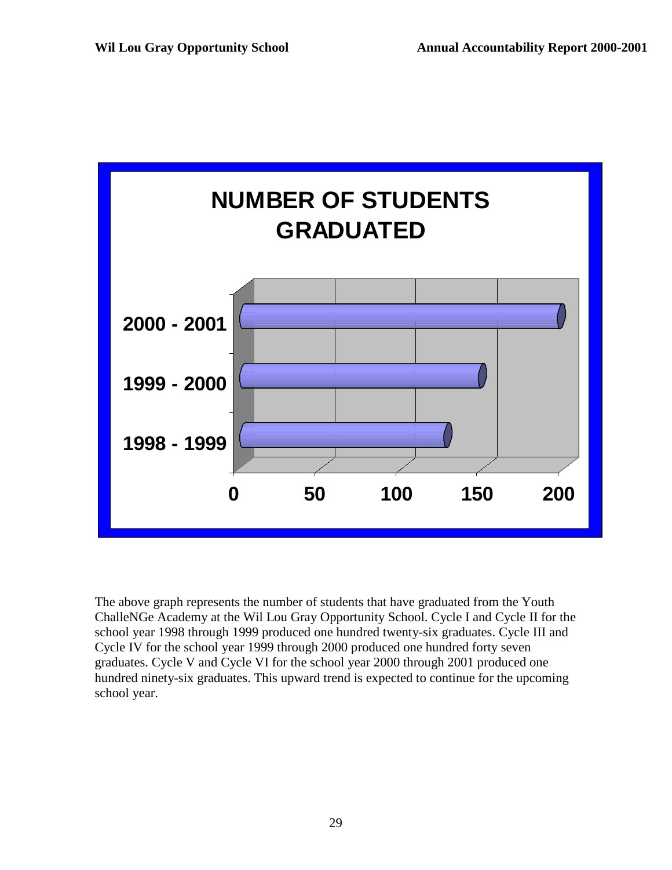

The above graph represents the number of students that have graduated from the Youth ChalleNGe Academy at the Wil Lou Gray Opportunity School. Cycle I and Cycle II for the school year 1998 through 1999 produced one hundred twenty-six graduates. Cycle III and Cycle IV for the school year 1999 through 2000 produced one hundred forty seven graduates. Cycle V and Cycle VI for the school year 2000 through 2001 produced one hundred ninety-six graduates. This upward trend is expected to continue for the upcoming school year.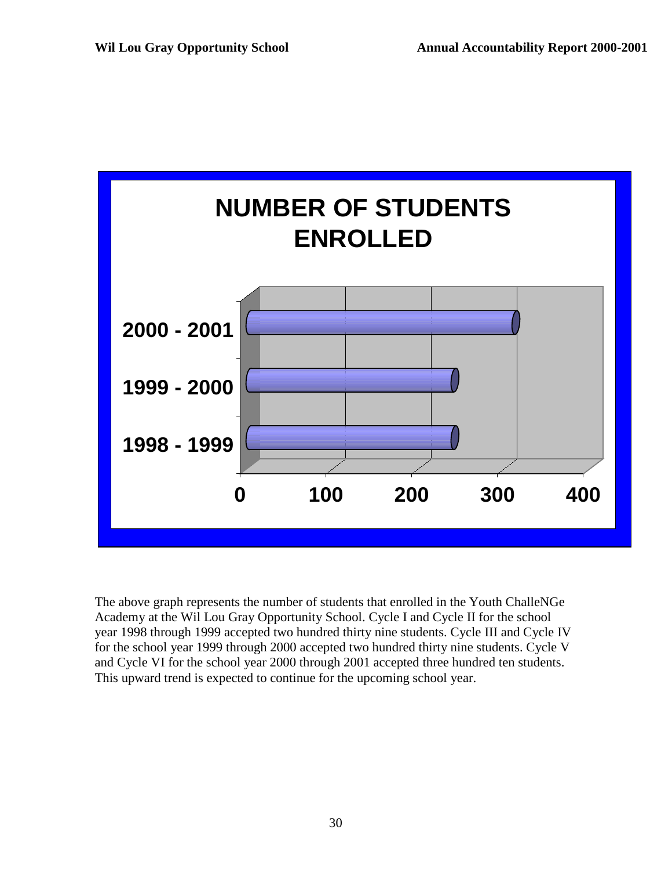

The above graph represents the number of students that enrolled in the Youth ChalleNGe Academy at the Wil Lou Gray Opportunity School. Cycle I and Cycle II for the school year 1998 through 1999 accepted two hundred thirty nine students. Cycle III and Cycle IV for the school year 1999 through 2000 accepted two hundred thirty nine students. Cycle V and Cycle VI for the school year 2000 through 2001 accepted three hundred ten students. This upward trend is expected to continue for the upcoming school year.